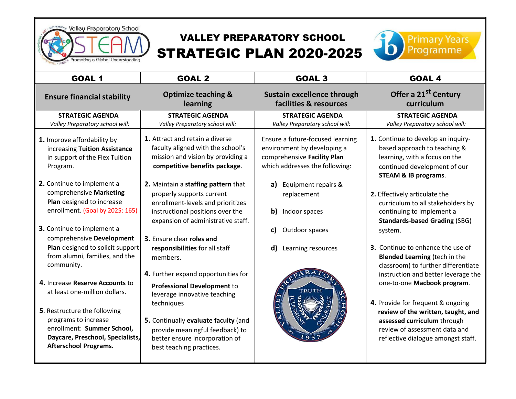

# VALLEY PREPARATORY SCHOOL STRATEGIC PLAN 2020-2025



| <b>GOAL 1</b>                                                                                                                                                                                                                                                                                                                                                                                                                                                                                                                                                                                                           | <b>GOAL 2</b>                                                                                                                                                                                                                                                                                                                                                                                                                                                                                                                                                                                                                                                                | <b>GOAL 3</b>                                                                                                                                                                                                                                           | <b>GOAL 4</b>                                                                                                                                                                                                                                                                                                                                                                                                                                                                                                                                                                                                                                                                                           |
|-------------------------------------------------------------------------------------------------------------------------------------------------------------------------------------------------------------------------------------------------------------------------------------------------------------------------------------------------------------------------------------------------------------------------------------------------------------------------------------------------------------------------------------------------------------------------------------------------------------------------|------------------------------------------------------------------------------------------------------------------------------------------------------------------------------------------------------------------------------------------------------------------------------------------------------------------------------------------------------------------------------------------------------------------------------------------------------------------------------------------------------------------------------------------------------------------------------------------------------------------------------------------------------------------------------|---------------------------------------------------------------------------------------------------------------------------------------------------------------------------------------------------------------------------------------------------------|---------------------------------------------------------------------------------------------------------------------------------------------------------------------------------------------------------------------------------------------------------------------------------------------------------------------------------------------------------------------------------------------------------------------------------------------------------------------------------------------------------------------------------------------------------------------------------------------------------------------------------------------------------------------------------------------------------|
| <b>Ensure financial stability</b>                                                                                                                                                                                                                                                                                                                                                                                                                                                                                                                                                                                       | <b>Optimize teaching &amp;</b>                                                                                                                                                                                                                                                                                                                                                                                                                                                                                                                                                                                                                                               | <b>Sustain excellence through</b>                                                                                                                                                                                                                       | Offer a 21 <sup>st</sup> Century                                                                                                                                                                                                                                                                                                                                                                                                                                                                                                                                                                                                                                                                        |
|                                                                                                                                                                                                                                                                                                                                                                                                                                                                                                                                                                                                                         | learning                                                                                                                                                                                                                                                                                                                                                                                                                                                                                                                                                                                                                                                                     | facilities & resources                                                                                                                                                                                                                                  | curriculum                                                                                                                                                                                                                                                                                                                                                                                                                                                                                                                                                                                                                                                                                              |
| <b>STRATEGIC AGENDA</b>                                                                                                                                                                                                                                                                                                                                                                                                                                                                                                                                                                                                 | <b>STRATEGIC AGENDA</b>                                                                                                                                                                                                                                                                                                                                                                                                                                                                                                                                                                                                                                                      | <b>STRATEGIC AGENDA</b>                                                                                                                                                                                                                                 | <b>STRATEGIC AGENDA</b>                                                                                                                                                                                                                                                                                                                                                                                                                                                                                                                                                                                                                                                                                 |
| Valley Preparatory school will:                                                                                                                                                                                                                                                                                                                                                                                                                                                                                                                                                                                         | Valley Preparatory school will:                                                                                                                                                                                                                                                                                                                                                                                                                                                                                                                                                                                                                                              | Valley Preparatory school will:                                                                                                                                                                                                                         | Valley Preparatory school will:                                                                                                                                                                                                                                                                                                                                                                                                                                                                                                                                                                                                                                                                         |
| 1. Improve affordability by<br>increasing Tuition Assistance<br>in support of the Flex Tuition<br>Program.<br>2. Continue to implement a<br>comprehensive Marketing<br>Plan designed to increase<br>enrollment. (Goal by 2025: 165)<br><b>3.</b> Continue to implement a<br>comprehensive Development<br>Plan designed to solicit support<br>from alumni, families, and the<br>community.<br>4. Increase Reserve Accounts to<br>at least one-million dollars.<br>5. Restructure the following<br>programs to increase<br>enrollment: Summer School,<br>Daycare, Preschool, Specialists,<br><b>Afterschool Programs.</b> | 1. Attract and retain a diverse<br>faculty aligned with the school's<br>mission and vision by providing a<br>competitive benefits package.<br>2. Maintain a staffing pattern that<br>properly supports current<br>enrollment-levels and prioritizes<br>instructional positions over the<br>expansion of administrative staff.<br>3. Ensure clear roles and<br>responsibilities for all staff<br>members.<br>4. Further expand opportunities for<br><b>Professional Development to</b><br>leverage innovative teaching<br>techniques<br>5. Continually evaluate faculty (and<br>provide meaningful feedback) to<br>better ensure incorporation of<br>best teaching practices. | Ensure a future-focused learning<br>environment by developing a<br>comprehensive Facility Plan<br>which addresses the following:<br>a)<br>Equipment repairs &<br>replacement<br>b)<br>Indoor spaces<br>Outdoor spaces<br>C)<br>Learning resources<br>d) | 1. Continue to develop an inquiry-<br>based approach to teaching &<br>learning, with a focus on the<br>continued development of our<br><b>STEAM &amp; IB programs.</b><br>2. Effectively articulate the<br>curriculum to all stakeholders by<br>continuing to implement a<br><b>Standards-based Grading (SBG)</b><br>system.<br>3. Continue to enhance the use of<br><b>Blended Learning (tech in the</b><br>classroom) to further differentiate<br>instruction and better leverage the<br>one-to-one Macbook program.<br>4. Provide for frequent & ongoing<br>review of the written, taught, and<br>assessed curriculum through<br>review of assessment data and<br>reflective dialogue amongst staff. |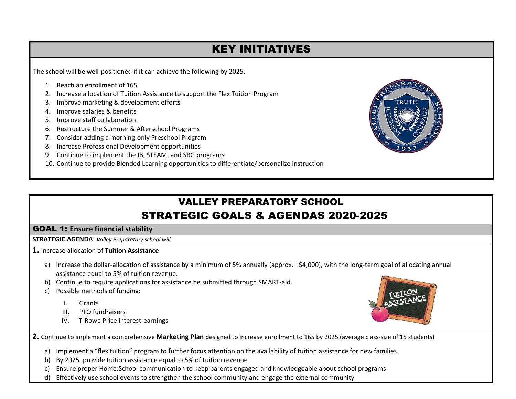## KEY INITIATIVES

The school will be well-positioned if it can achieve the following by 2025:

- 1. Reach an enrollment of 165
- 2. Increase allocation of Tuition Assistance to support the Flex Tuition Program
- 3. Improve marketing & development efforts
- 4. Improve salaries & benefits
- 5. Improve staff collaboration
- 6. Restructure the Summer & Afterschool Programs
- 7. Consider adding a morning-only Preschool Program
- 8. Increase Professional Development opportunities
- 9. Continue to implement the IB, STEAM, and SBG programs
- 10. Continue to provide Blended Learning opportunities to differentiate/personalize instruction

## VALLEY PREPARATORY SCHOOL STRATEGIC GOALS & AGENDAS 2020-2025

### GOAL 1: **Ensure financial stability**

**STRATEGIC AGENDA**: *Valley Preparatory school will:*

**1.** Increase allocation of **Tuition Assistance**

- a) Increase the dollar-allocation of assistance by a minimum of 5% annually (approx. +\$4,000), with the long-term goal of allocating annual assistance equal to 5% of tuition revenue.
- b) Continue to require applications for assistance be submitted through SMART-aid.
- c) Possible methods of funding:
	- I. Grants
	- III. PTO fundraisers
	- IV. T-Rowe Price interest-earnings



**2.** Continue to implement a comprehensive **Marketing Plan** designed to increase enrollment to 165 by 2025 (average class-size of 15 students)

- a) Implement a "flex tuition" program to further focus attention on the availability of tuition assistance for new families.
- b) By 2025, provide tuition assistance equal to 5% of tuition revenue
- c) Ensure proper Home:School communication to keep parents engaged and knowledgeable about school programs
- d) Effectively use school events to strengthen the school community and engage the external community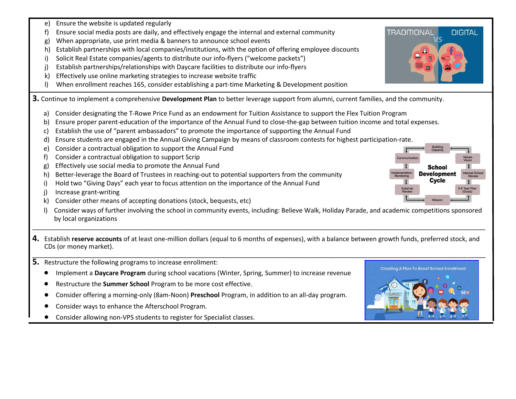- e) Ensure the website is updated regularly
- f) Ensure social media posts are daily, and effectively engage the internal and external community
- g) When appropriate, use print media & banners to announce school events
- h) Establish partnerships with local companies/institutions, with the option of offering employee discounts
- i) Solicit Real Estate companies/agents to distribute our info-flyers ("welcome packets")
- j) Establish partnerships/relationships with Daycare facilities to distribute our info-flyers
- k) Effectively use online marketing strategies to increase website traffic
- l) When enrollment reaches 165, consider establishing a part-time Marketing & Development position

**3.** Continue to implement a comprehensive **Development Plan** to better leverage support from alumni, current families, and the community.

- a) Consider designating the T-Rowe Price Fund as an endowment for Tuition Assistance to support the Flex Tuition Program
- b) Ensure proper parent-education of the importance of the Annual Fund to close-the-gap between tuition income and total expenses.
- c) Establish the use of "parent ambassadors" to promote the importance of supporting the Annual Fund
- d) Ensure students are engaged in the Annual Giving Campaign by means of classroom contests for highest participation-rate.
- e) Consider a contractual obligation to support the Annual Fund
- f) Consider a contractual obligation to support Scrip
- g) Effectively use social media to promote the Annual Fund
- h) Better-leverage the Board of Trustees in reaching-out to potential supporters from the community
- i) Hold two "Giving Days" each year to focus attention on the importance of the Annual Fund
- j) Increase grant-writing
- k) Consider other means of accepting donations (stock, bequests, etc)
- l) Consider ways of further involving the school in community events, including: Believe Walk, Holiday Parade, and academic competitions sponsored by local organizations
- **4.** Establish **reserve accounts** of at least one-million dollars (equal to 6 months of expenses), with a balance between growth funds, preferred stock, and CDs (or money market). \_\_\_\_\_\_\_\_\_\_\_\_\_\_\_\_\_\_\_\_\_\_\_\_\_\_\_\_\_\_\_\_\_\_\_\_\_\_\_\_\_\_\_\_\_\_\_\_\_\_\_\_\_\_\_\_\_\_\_\_\_\_\_\_\_\_\_\_\_\_\_\_\_\_\_\_\_\_\_\_\_\_\_\_\_\_\_\_\_\_\_\_\_\_\_\_\_\_\_\_\_\_\_\_\_\_\_\_\_\_\_\_\_\_\_\_\_\_\_\_\_\_\_\_\_\_\_

\_\_\_\_\_\_\_\_\_\_\_\_\_\_\_\_\_\_\_\_\_\_\_\_\_\_\_\_\_\_\_\_\_\_\_\_\_\_\_\_\_\_\_\_\_\_\_\_\_\_\_\_\_\_\_\_\_\_\_\_\_\_\_\_\_\_\_\_\_\_\_\_\_\_\_\_\_\_\_\_\_\_\_\_\_\_\_\_\_\_\_\_\_\_\_\_\_\_\_\_\_\_\_\_\_\_\_\_\_\_\_\_\_\_\_\_\_\_\_\_\_\_\_\_\_\_\_

- **5.** Restructure the following programs to increase enrolIment:
	- Implement a **Daycare Program** during school vacations (Winter, Spring, Summer) to increase revenue
	- Restructure the **Summer School** Program to be more cost effective.
	- Consider offering a morning-only (8am-Noon) **Preschool** Program, in addition to an all-day program.
	- Consider ways to enhance the Afterschool Program.
	- Consider allowing non-VPS students to register for Specialist classes.



**DIGITAL** 

-5 Year Pla

**TRADITIONAL** 



Externa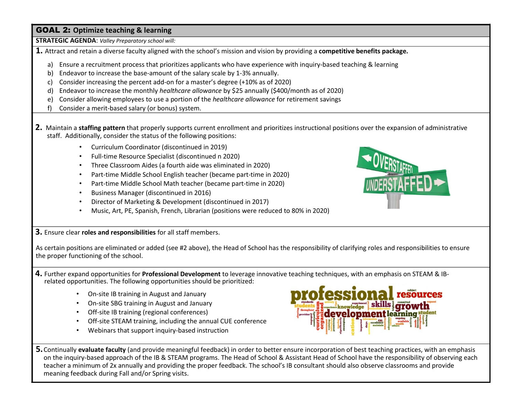#### GOAL 2: **Optimize teaching & learning**

**STRATEGIC AGENDA**: *Valley Preparatory school will:*

**1.** Attract and retain a diverse faculty aligned with the school's mission and vision by providing a **competitive benefits package.**

- a) Ensure a recruitment process that prioritizes applicants who have experience with inquiry-based teaching & learning
- b) Endeavor to increase the base-amount of the salary scale by 1-3% annually.
- c) Consider increasing the percent add-on for a master's degree (+10% as of 2020)
- d) Endeavor to increase the monthly *healthcare allowance* by \$25 annually (\$400/month as of 2020)
- e) Consider allowing employees to use a portion of the *healthcare allowance* for retirement savings
- f) Consider a merit-based salary (or bonus) system.
- **2.** Maintain a **staffing pattern** that properly supports current enrollment and prioritizes instructional positions over the expansion of administrative staff. Additionally, consider the status of the following positions:
	- Curriculum Coordinator (discontinued in 2019)
	- Full-time Resource Specialist (discontinued n 2020)
	- Three Classroom Aides (a fourth aide was eliminated in 2020)
	- Part-time Middle School English teacher (became part-time in 2020)
	- Part-time Middle School Math teacher (became part-time in 2020)
	- Business Manager (discontinued in 2016)
	- Director of Marketing & Development (discontinued in 2017)
	- Music, Art, PE, Spanish, French, Librarian (positions were reduced to 80% in 2020)



**3.** Ensure clear **roles and responsibilities** for all staff members.

As certain positions are eliminated or added (see #2 above), the Head of School has the responsibility of clarifying roles and responsibilities to ensure the proper functioning of the school.

#### **4.** Further expand opportunities for **Professional Development** to leverage innovative teaching techniques, with an emphasis on STEAM & IBrelated opportunities. The following opportunities should be prioritized:

- On-site IB training in August and January
- On-site SBG training in August and January
- Off-site IB training (regional conferences)
- Off-site STEAM training, including the annual CUE conference
- Webinars that support inquiry-based instruction



**5.**Continually **evaluate faculty** (and provide meaningful feedback) in order to better ensure incorporation of best teaching practices, with an emphasis on the inquiry-based approach of the IB & STEAM programs. The Head of School & Assistant Head of School have the responsibility of observing each teacher a minimum of 2x annually and providing the proper feedback. The school's IB consultant should also observe classrooms and provide meaning feedback during Fall and/or Spring visits.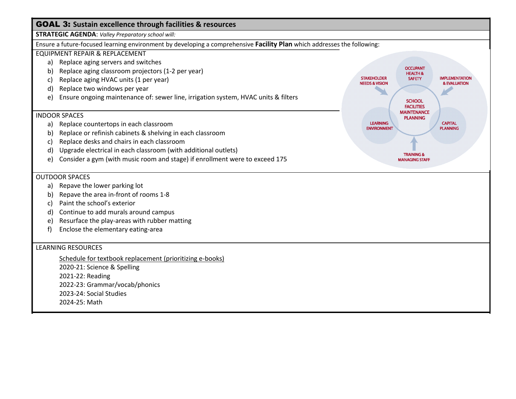